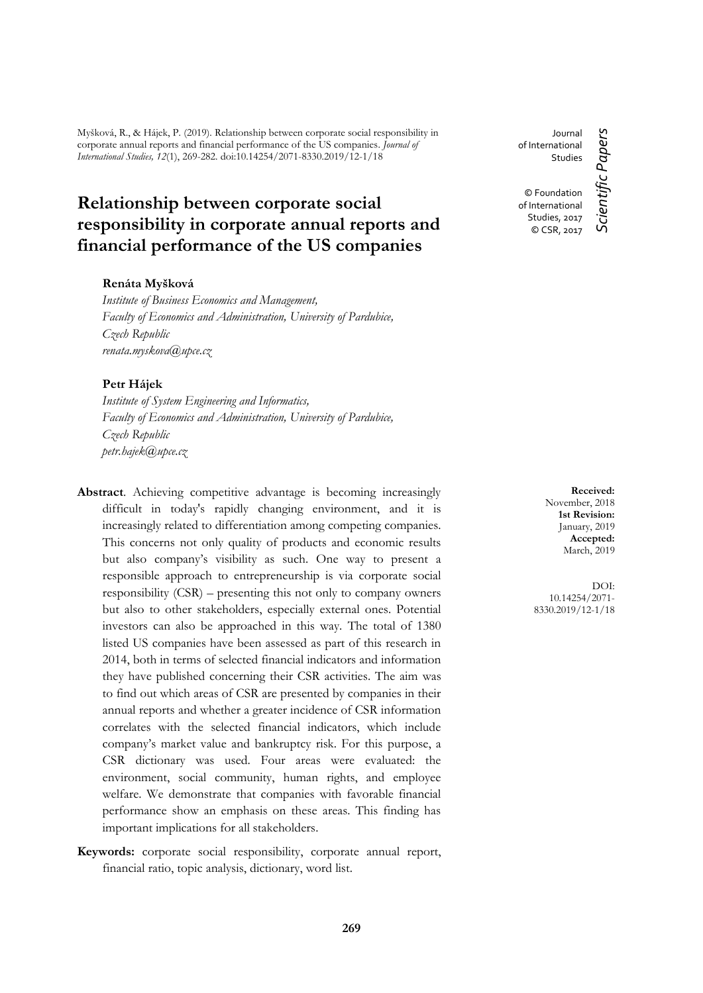Myšková, R., & Hájek, P. (2019). Relationship between corporate social responsibility in corporate annual reports and financial performance of the US companies. *Journal of International Studies, 12*(1), 269-282. doi:10.14254/2071-8330.2019/12-1/18

# **Relationship between corporate social responsibility in corporate annual reports and financial performance of the US companies**

## **Renáta Myšková**

*Institute of Business Economics and Management, Faculty of Economics and Administration, University of Pardubice, Czech Republic renata.myskova@upce.cz*

# **Petr Hájek**

*Institute of System Engineering and Informatics, Faculty of Economics and Administration, University of Pardubice, Czech Republic petr.hajek@upce.cz*

- **Abstract**. Achieving competitive advantage is becoming increasingly difficult in today's rapidly changing environment, and it is increasingly related to differentiation among competing companies. This concerns not only quality of products and economic results but also company's visibility as such. One way to present a responsible approach to entrepreneurship is via corporate social responsibility (CSR) – presenting this not only to company owners but also to other stakeholders, especially external ones. Potential investors can also be approached in this way. The total of 1380 listed US companies have been assessed as part of this research in 2014, both in terms of selected financial indicators and information they have published concerning their CSR activities. The aim was to find out which areas of CSR are presented by companies in their annual reports and whether a greater incidence of CSR information correlates with the selected financial indicators, which include company's market value and bankruptcy risk. For this purpose, a CSR dictionary was used. Four areas were evaluated: the environment, social community, human rights, and employee welfare. We demonstrate that companies with favorable financial performance show an emphasis on these areas. This finding has important implications for all stakeholders.
- **Keywords:** corporate social responsibility, corporate annual report, financial ratio, topic analysis, dictionary, word list.

of International Studies © Foundation of International Studies, 2017 © CSR, 2017

Journal

Scientific Papers *Scientific Papers*

**Received:** November, 2018 **1st Revision:** January, 2019 **Accepted:** March, 2019

DOI: 10.14254/2071- 8330.2019/12-1/18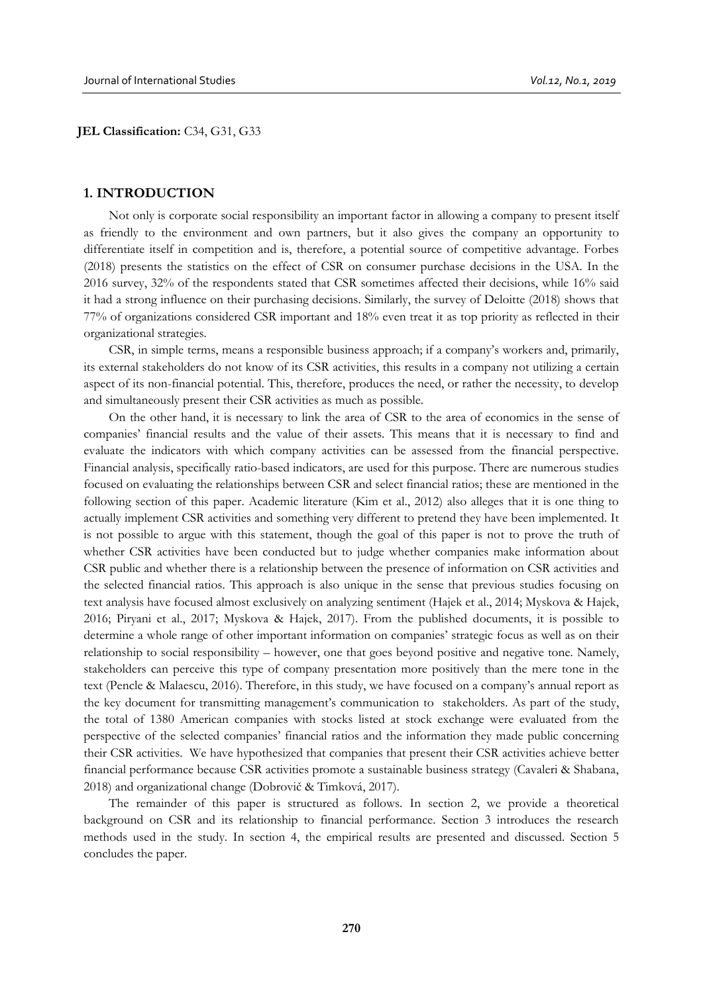#### **JEL Classification:** C34, G31, G33

#### **1. INTRODUCTION**

Not only is corporate social responsibility an important factor in allowing a company to present itself as friendly to the environment and own partners, but it also gives the company an opportunity to differentiate itself in competition and is, therefore, a potential source of competitive advantage. Forbes (2018) presents the statistics on the effect of CSR on consumer purchase decisions in the USA. In the 2016 survey, 32% of the respondents stated that CSR sometimes affected their decisions, while 16% said it had a strong influence on their purchasing decisions. Similarly, the survey of Deloitte (2018) shows that 77% of organizations considered CSR important and 18% even treat it as top priority as reflected in their organizational strategies.

CSR, in simple terms, means a responsible business approach; if a company's workers and, primarily, its external stakeholders do not know of its CSR activities, this results in a company not utilizing a certain aspect of its non-financial potential. This, therefore, produces the need, or rather the necessity, to develop and simultaneously present their CSR activities as much as possible.

On the other hand, it is necessary to link the area of CSR to the area of economics in the sense of companies' financial results and the value of their assets. This means that it is necessary to find and evaluate the indicators with which company activities can be assessed from the financial perspective. Financial analysis, specifically ratio-based indicators, are used for this purpose. There are numerous studies focused on evaluating the relationships between CSR and select financial ratios; these are mentioned in the following section of this paper. Academic literature (Kim et al., 2012) also alleges that it is one thing to actually implement CSR activities and something very different to pretend they have been implemented. It is not possible to argue with this statement, though the goal of this paper is not to prove the truth of whether CSR activities have been conducted but to judge whether companies make information about CSR public and whether there is a relationship between the presence of information on CSR activities and the selected financial ratios. This approach is also unique in the sense that previous studies focusing on text analysis have focused almost exclusively on analyzing sentiment (Hajek et al., 2014; Myskova & Hajek, 2016; Piryani et al., 2017; Myskova & Hajek, 2017). From the published documents, it is possible to determine a whole range of other important information on companies' strategic focus as well as on their relationship to social responsibility – however, one that goes beyond positive and negative tone. Namely, stakeholders can perceive this type of company presentation more positively than the mere tone in the text (Pencle & Malaescu, 2016). Therefore, in this study, we have focused on a company's annual report as the key document for transmitting management's communication to stakeholders. As part of the study, the total of 1380 American companies with stocks listed at stock exchange were evaluated from the perspective of the selected companies' financial ratios and the information they made public concerning their CSR activities. We have hypothesized that companies that present their CSR activities achieve better financial performance because CSR activities promote a sustainable business strategy (Cavaleri & Shabana, 2018) and organizational change (Dobrovič & Timková, 2017).

The remainder of this paper is structured as follows. In section 2, we provide a theoretical background on CSR and its relationship to financial performance. Section 3 introduces the research methods used in the study. In section 4, the empirical results are presented and discussed. Section 5 concludes the paper.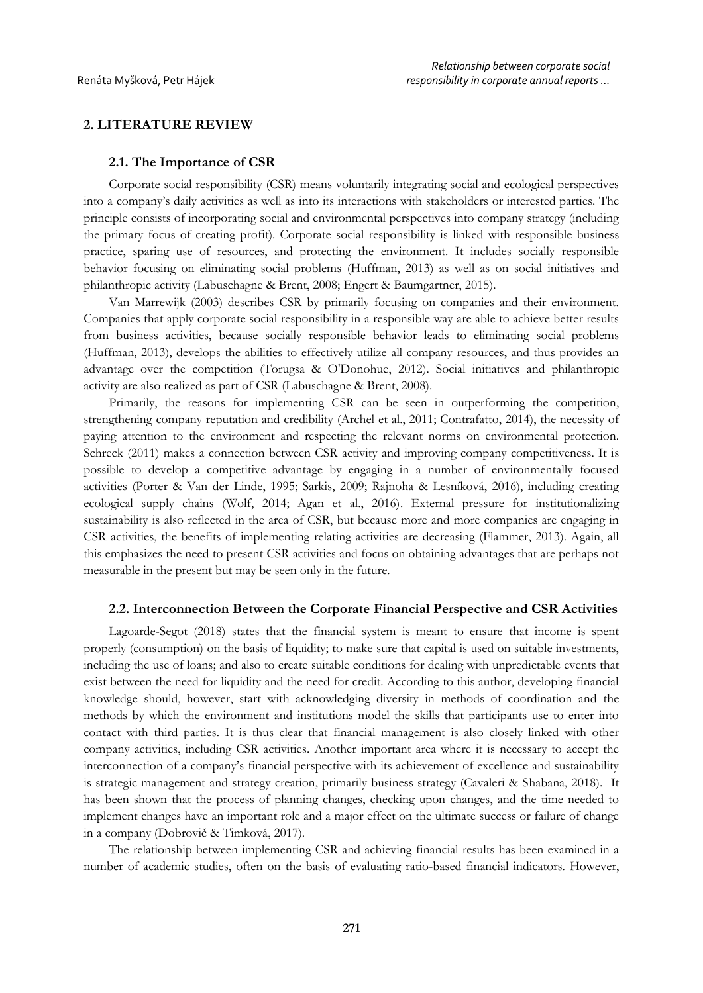# **2. LITERATURE REVIEW**

#### **2.1. The Importance of CSR**

Corporate social responsibility (CSR) means voluntarily integrating social and ecological perspectives into a company's daily activities as well as into its interactions with stakeholders or interested parties. The principle consists of incorporating social and environmental perspectives into company strategy (including the primary focus of creating profit). Corporate social responsibility is linked with responsible business practice, sparing use of resources, and protecting the environment. It includes socially responsible behavior focusing on eliminating social problems (Huffman, 2013) as well as on social initiatives and philanthropic activity (Labuschagne & Brent, 2008; Engert & Baumgartner, 2015).

Van Marrewijk (2003) describes CSR by primarily focusing on companies and their environment. Companies that apply corporate social responsibility in a responsible way are able to achieve better results from business activities, because socially responsible behavior leads to eliminating social problems (Huffman, 2013), develops the abilities to effectively utilize all company resources, and thus provides an advantage over the competition (Torugsa & O'Donohue, 2012). Social initiatives and philanthropic activity are also realized as part of CSR (Labuschagne & Brent, 2008).

Primarily, the reasons for implementing CSR can be seen in outperforming the competition, strengthening company reputation and credibility (Archel et al., 2011; Contrafatto, 2014), the necessity of paying attention to the environment and respecting the relevant norms on environmental protection. Schreck (2011) makes a connection between CSR activity and improving company competitiveness. It is possible to develop a competitive advantage by engaging in a number of environmentally focused activities (Porter & Van der Linde, 1995; Sarkis, 2009; Rajnoha & Lesníková, 2016), including creating ecological supply chains (Wolf, 2014; Agan et al., 2016). External pressure for institutionalizing sustainability is also reflected in the area of CSR, but because more and more companies are engaging in CSR activities, the benefits of implementing relating activities are decreasing (Flammer, 2013). Again, all this emphasizes the need to present CSR activities and focus on obtaining advantages that are perhaps not measurable in the present but may be seen only in the future.

## **2.2. Interconnection Between the Corporate Financial Perspective and CSR Activities**

Lagoarde-Segot (2018) states that the financial system is meant to ensure that income is spent properly (consumption) on the basis of liquidity; to make sure that capital is used on suitable investments, including the use of loans; and also to create suitable conditions for dealing with unpredictable events that exist between the need for liquidity and the need for credit. According to this author, developing financial knowledge should, however, start with acknowledging diversity in methods of coordination and the methods by which the environment and institutions model the skills that participants use to enter into contact with third parties. It is thus clear that financial management is also closely linked with other company activities, including CSR activities. Another important area where it is necessary to accept the interconnection of a company's financial perspective with its achievement of excellence and sustainability is strategic management and strategy creation, primarily business strategy (Cavaleri & Shabana, 2018). It has been shown that the process of planning changes, checking upon changes, and the time needed to implement changes have an important role and a major effect on the ultimate success or failure of change in a company (Dobrovič & Timková, 2017).

The relationship between implementing CSR and achieving financial results has been examined in a number of academic studies, often on the basis of evaluating ratio-based financial indicators. However,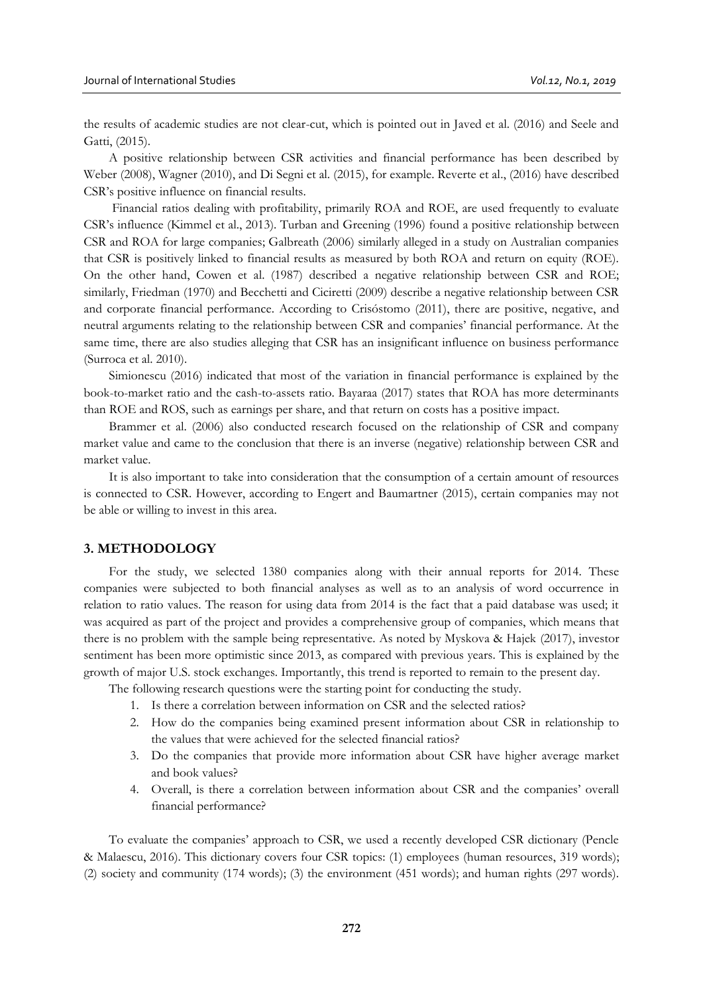the results of academic studies are not clear-cut, which is pointed out in Javed et al. (2016) and Seele and Gatti, (2015).

A positive relationship between CSR activities and financial performance has been described by Weber (2008), Wagner (2010), and Di Segni et al. (2015), for example. Reverte et al., (2016) have described CSR's positive influence on financial results.

Financial ratios dealing with profitability, primarily ROA and ROE, are used frequently to evaluate CSR's influence (Kimmel et al., 2013). Turban and Greening (1996) found a positive relationship between CSR and ROA for large companies; Galbreath (2006) similarly alleged in a study on Australian companies that CSR is positively linked to financial results as measured by both ROA and return on equity (ROE). On the other hand, Cowen et al. (1987) described a negative relationship between CSR and ROE; similarly, Friedman (1970) and Becchetti and Ciciretti (2009) describe a negative relationship between CSR and corporate financial performance. According to Crisóstomo (2011), there are positive, negative, and neutral arguments relating to the relationship between CSR and companies' financial performance. At the same time, there are also studies alleging that CSR has an insignificant influence on business performance (Surroca et al. 2010).

Simionescu (2016) indicated that most of the variation in financial performance is explained by the book-to-market ratio and the cash-to-assets ratio. Bayaraa (2017) states that ROA has more determinants than ROE and ROS, such as earnings per share, and that return on costs has a positive impact.

Brammer et al. (2006) also conducted research focused on the relationship of CSR and company market value and came to the conclusion that there is an inverse (negative) relationship between CSR and market value.

It is also important to take into consideration that the consumption of a certain amount of resources is connected to CSR. However, according to Engert and Baumartner (2015), certain companies may not be able or willing to invest in this area.

## **3. METHODOLOGY**

For the study, we selected 1380 companies along with their annual reports for 2014. These companies were subjected to both financial analyses as well as to an analysis of word occurrence in relation to ratio values. The reason for using data from 2014 is the fact that a paid database was used; it was acquired as part of the project and provides a comprehensive group of companies, which means that there is no problem with the sample being representative. As noted by Myskova & Hajek (2017), investor sentiment has been more optimistic since 2013, as compared with previous years. This is explained by the growth of major U.S. stock exchanges. Importantly, this trend is reported to remain to the present day.

The following research questions were the starting point for conducting the study.

- 1. Is there a correlation between information on CSR and the selected ratios?
- 2. How do the companies being examined present information about CSR in relationship to the values that were achieved for the selected financial ratios?
- 3. Do the companies that provide more information about CSR have higher average market and book values?
- 4. Overall, is there a correlation between information about CSR and the companies' overall financial performance?

To evaluate the companies' approach to CSR, we used a recently developed CSR dictionary (Pencle & Malaescu, 2016). This dictionary covers four CSR topics: (1) employees (human resources, 319 words); (2) society and community (174 words); (3) the environment (451 words); and human rights (297 words).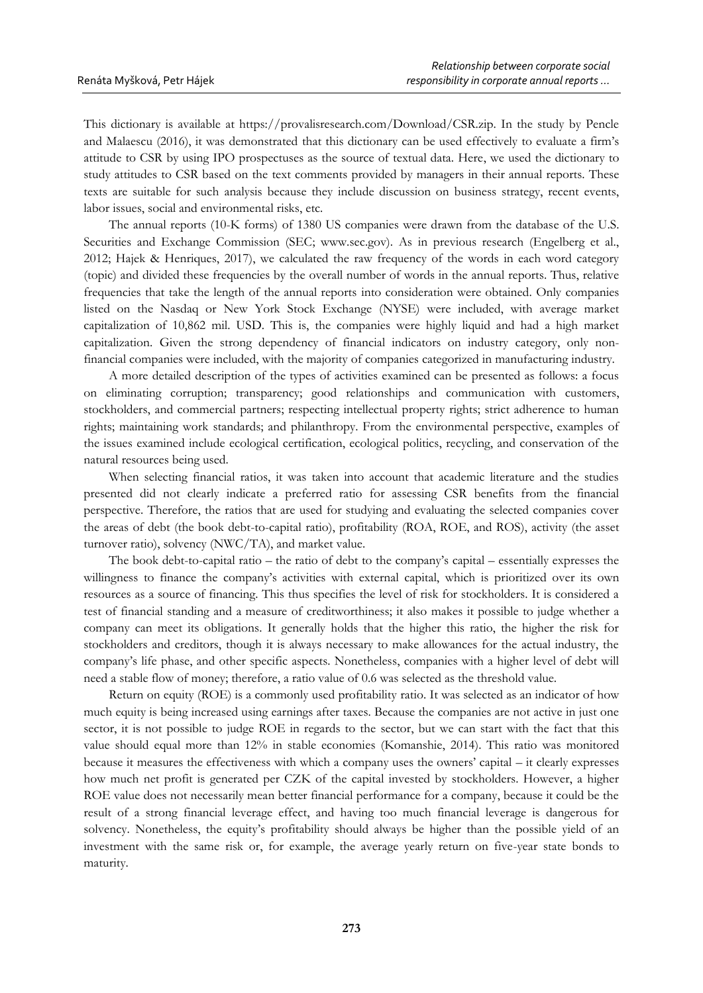This dictionary is available at https://provalisresearch.com/Download/CSR.zip. In the study by Pencle and Malaescu (2016), it was demonstrated that this dictionary can be used effectively to evaluate a firm's attitude to CSR by using IPO prospectuses as the source of textual data. Here, we used the dictionary to study attitudes to CSR based on the text comments provided by managers in their annual reports. These texts are suitable for such analysis because they include discussion on business strategy, recent events, labor issues, social and environmental risks, etc.

The annual reports (10-K forms) of 1380 US companies were drawn from the database of the U.S. Securities and Exchange Commission (SEC; www.sec.gov). As in previous research (Engelberg et al., 2012; Hajek & Henriques, 2017), we calculated the raw frequency of the words in each word category (topic) and divided these frequencies by the overall number of words in the annual reports. Thus, relative frequencies that take the length of the annual reports into consideration were obtained. Only companies listed on the Nasdaq or New York Stock Exchange (NYSE) were included, with average market capitalization of 10,862 mil. USD. This is, the companies were highly liquid and had a high market capitalization. Given the strong dependency of financial indicators on industry category, only nonfinancial companies were included, with the majority of companies categorized in manufacturing industry.

A more detailed description of the types of activities examined can be presented as follows: a focus on eliminating corruption; transparency; good relationships and communication with customers, stockholders, and commercial partners; respecting intellectual property rights; strict adherence to human rights; maintaining work standards; and philanthropy. From the environmental perspective, examples of the issues examined include ecological certification, ecological politics, recycling, and conservation of the natural resources being used.

When selecting financial ratios, it was taken into account that academic literature and the studies presented did not clearly indicate a preferred ratio for assessing CSR benefits from the financial perspective. Therefore, the ratios that are used for studying and evaluating the selected companies cover the areas of debt (the book debt-to-capital ratio), profitability (ROA, ROE, and ROS), activity (the asset turnover ratio), solvency (NWC/TA), and market value.

The book debt-to-capital ratio – the ratio of debt to the company's capital – essentially expresses the willingness to finance the company's activities with external capital, which is prioritized over its own resources as a source of financing. This thus specifies the level of risk for stockholders. It is considered a test of financial standing and a measure of creditworthiness; it also makes it possible to judge whether a company can meet its obligations. It generally holds that the higher this ratio, the higher the risk for stockholders and creditors, though it is always necessary to make allowances for the actual industry, the company's life phase, and other specific aspects. Nonetheless, companies with a higher level of debt will need a stable flow of money; therefore, a ratio value of 0.6 was selected as the threshold value.

Return on equity (ROE) is a commonly used profitability ratio. It was selected as an indicator of how much equity is being increased using earnings after taxes. Because the companies are not active in just one sector, it is not possible to judge ROE in regards to the sector, but we can start with the fact that this value should equal more than 12% in stable economies (Komanshie, 2014). This ratio was monitored because it measures the effectiveness with which a company uses the owners' capital – it clearly expresses how much net profit is generated per CZK of the capital invested by stockholders. However, a higher ROE value does not necessarily mean better financial performance for a company, because it could be the result of a strong financial leverage effect, and having too much financial leverage is dangerous for solvency. Nonetheless, the equity's profitability should always be higher than the possible yield of an investment with the same risk or, for example, the average yearly return on five-year state bonds to maturity.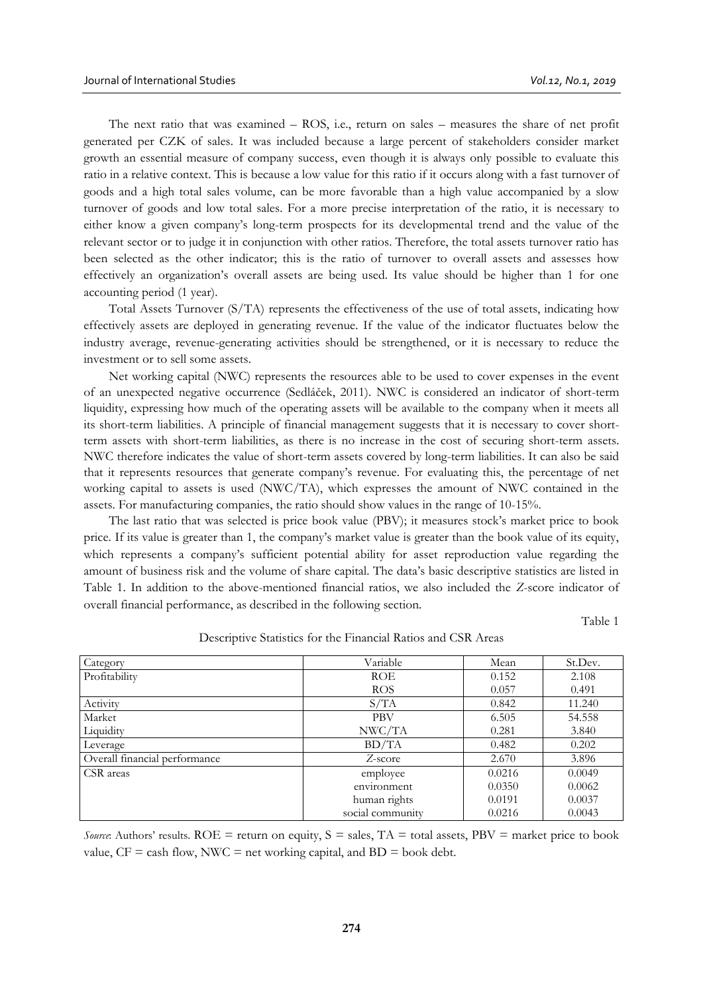The next ratio that was examined – ROS, i.e., return on sales – measures the share of net profit generated per CZK of sales. It was included because a large percent of stakeholders consider market growth an essential measure of company success, even though it is always only possible to evaluate this ratio in a relative context. This is because a low value for this ratio if it occurs along with a fast turnover of goods and a high total sales volume, can be more favorable than a high value accompanied by a slow turnover of goods and low total sales. For a more precise interpretation of the ratio, it is necessary to either know a given company's long-term prospects for its developmental trend and the value of the relevant sector or to judge it in conjunction with other ratios. Therefore, the total assets turnover ratio has been selected as the other indicator; this is the ratio of turnover to overall assets and assesses how effectively an organization's overall assets are being used. Its value should be higher than 1 for one accounting period (1 year).

Total Assets Turnover (S/TA) represents the effectiveness of the use of total assets, indicating how effectively assets are deployed in generating revenue. If the value of the indicator fluctuates below the industry average, revenue-generating activities should be strengthened, or it is necessary to reduce the investment or to sell some assets.

Net working capital (NWC) represents the resources able to be used to cover expenses in the event of an unexpected negative occurrence (Sedláček, 2011). NWC is considered an indicator of short-term liquidity, expressing how much of the operating assets will be available to the company when it meets all its short-term liabilities. A principle of financial management suggests that it is necessary to cover shortterm assets with short-term liabilities, as there is no increase in the cost of securing short-term assets. NWC therefore indicates the value of short-term assets covered by long-term liabilities. It can also be said that it represents resources that generate company's revenue. For evaluating this, the percentage of net working capital to assets is used (NWC/TA), which expresses the amount of NWC contained in the assets. For manufacturing companies, the ratio should show values in the range of 10-15%.

The last ratio that was selected is price book value (PBV); it measures stock's market price to book price. If its value is greater than 1, the company's market value is greater than the book value of its equity, which represents a company's sufficient potential ability for asset reproduction value regarding the amount of business risk and the volume of share capital. The data's basic descriptive statistics are listed in Table 1. In addition to the above-mentioned financial ratios, we also included the *Z*-score indicator of overall financial performance, as described in the following section.

Table 1

| Category                      | Variable         | Mean   | St.Dev. |
|-------------------------------|------------------|--------|---------|
| Profitability                 | <b>ROE</b>       | 0.152  | 2.108   |
|                               | <b>ROS</b>       | 0.057  | 0.491   |
| Activity                      | S/TA             | 0.842  | 11.240  |
| Market                        | <b>PBV</b>       | 6.505  | 54.558  |
| Liquidity                     | NWC/TA           | 0.281  | 3.840   |
| Leverage                      | BD/TA            | 0.482  | 0.202   |
| Overall financial performance | Z-score          | 2.670  | 3.896   |
| CSR areas                     | employee         | 0.0216 | 0.0049  |
|                               | environment      | 0.0350 | 0.0062  |
|                               | human rights     | 0.0191 | 0.0037  |
|                               | social community | 0.0216 | 0.0043  |

Descriptive Statistics for the Financial Ratios and CSR Areas

*Source*: Authors' results. ROE = return on equity,  $S =$  sales,  $TA =$  total assets,  $PBV =$  market price to book value,  $CF =$  cash flow, NWC = net working capital, and  $BD =$  book debt.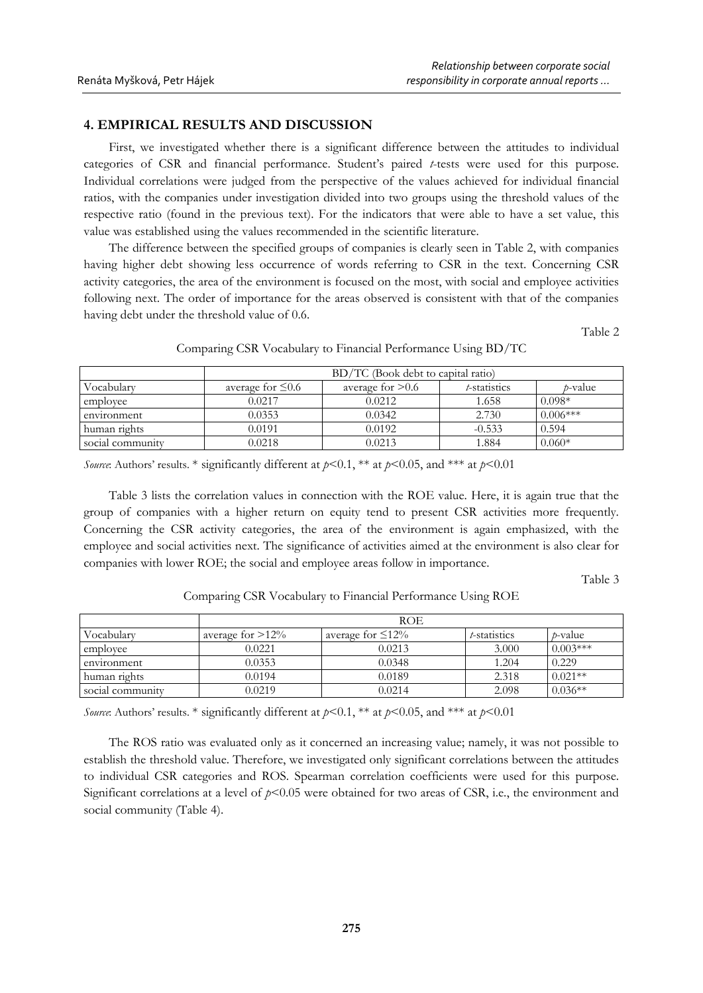# **4. EMPIRICAL RESULTS AND DISCUSSION**

First, we investigated whether there is a significant difference between the attitudes to individual categories of CSR and financial performance. Student's paired *t*-tests were used for this purpose. Individual correlations were judged from the perspective of the values achieved for individual financial ratios, with the companies under investigation divided into two groups using the threshold values of the respective ratio (found in the previous text). For the indicators that were able to have a set value, this value was established using the values recommended in the scientific literature.

The difference between the specified groups of companies is clearly seen in Table 2, with companies having higher debt showing less occurrence of words referring to CSR in the text. Concerning CSR activity categories, the area of the environment is focused on the most, with social and employee activities following next. The order of importance for the areas observed is consistent with that of the companies having debt under the threshold value of 0.6.

Table 2

|                  | BD/TC (Book debt to capital ratio) |                                                        |          |            |  |  |  |  |  |
|------------------|------------------------------------|--------------------------------------------------------|----------|------------|--|--|--|--|--|
| Vocabularv       | average for $\leq 0.6$             | average for $> 0.6$<br>t-statistics<br><i>t</i> -value |          |            |  |  |  |  |  |
| employee         | 0.0217                             | 0.0212                                                 | 1.658    | $0.098*$   |  |  |  |  |  |
| environment      | 0.0353                             | 0.0342                                                 | 2.730    | $0.006***$ |  |  |  |  |  |
| human rights     | 0.0191                             | 0.0192                                                 | $-0.533$ | 0.594      |  |  |  |  |  |
| social community | 0.0218                             | 0.0213                                                 | 1.884    | $0.060*$   |  |  |  |  |  |

Comparing CSR Vocabulary to Financial Performance Using BD/TC

*Source*: Authors' results. \* significantly different at  $p<0.1$ , \*\* at  $p<0.05$ , and \*\*\* at  $p<0.01$ 

Table 3 lists the correlation values in connection with the ROE value. Here, it is again true that the group of companies with a higher return on equity tend to present CSR activities more frequently. Concerning the CSR activity categories, the area of the environment is again emphasized, with the employee and social activities next. The significance of activities aimed at the environment is also clear for companies with lower ROE; the social and employee areas follow in importance.

Table 3

| Inert | arcenge for > 12% | $\alpha v \sim r \alpha \alpha$ to $\epsilon$ 17% | t etatietice | ATO |
|-------|-------------------|---------------------------------------------------|--------------|-----|

Comparing CSR Vocabulary to Financial Performance Using ROE

|                  | ROE.                |                         |              |                 |  |
|------------------|---------------------|-------------------------|--------------|-----------------|--|
| Vocabulary       | average for $>12\%$ | average for $\leq 12\%$ | t-statistics | <i>t</i> -value |  |
| employee         | 0.0221              | 0.0213                  | 3.000        | $0.003***$      |  |
| environment      | 0.0353              | 0.0348                  | 1.204        | 0.229           |  |
| human rights     | 0.0194              | 0.0189                  | 2.318        | $0.021**$       |  |
| social community | 0.0219              | 0.0214                  | 2.098        | $0.036**$       |  |

*Source*: Authors' results. \* significantly different at *p*<0.1, \*\* at *p*<0.05, and \*\*\* at *p*<0.01

The ROS ratio was evaluated only as it concerned an increasing value; namely, it was not possible to establish the threshold value. Therefore, we investigated only significant correlations between the attitudes to individual CSR categories and ROS. Spearman correlation coefficients were used for this purpose. Significant correlations at a level of  $p<0.05$  were obtained for two areas of CSR, i.e., the environment and social community (Table 4).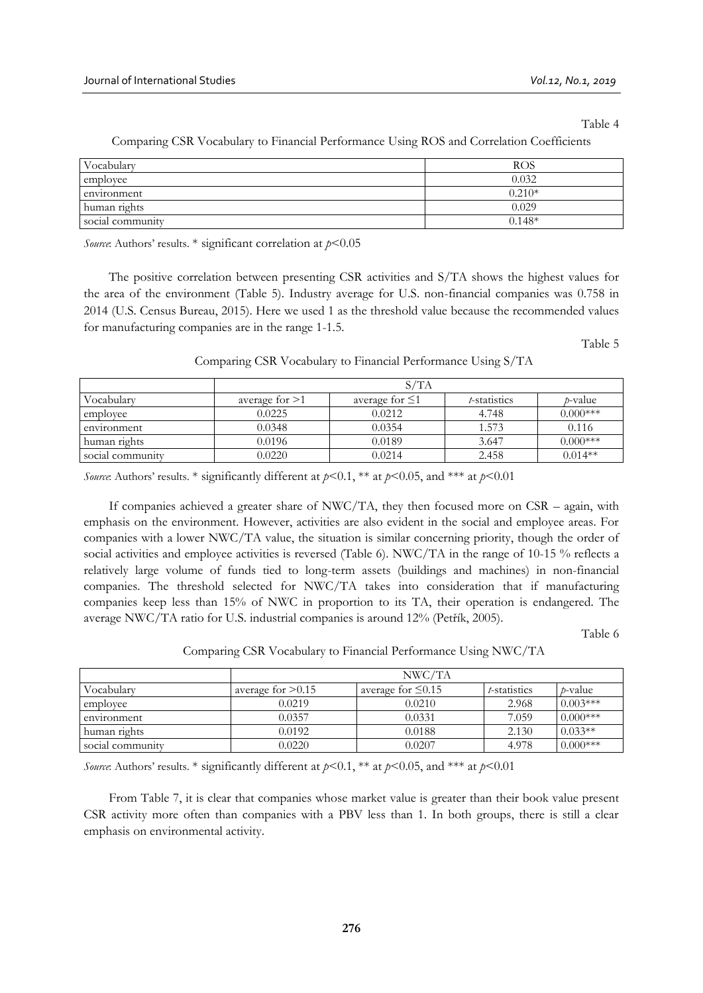Table 4

| Vocabulary       | ROS      |
|------------------|----------|
| employee         | 0.032    |
| environment      | $0.210*$ |
| human rights     | 0.029    |
| social community | $0.148*$ |

Comparing CSR Vocabulary to Financial Performance Using ROS and Correlation Coefficients

*Source*: Authors' results. \* significant correlation at *p*<0.05

The positive correlation between presenting CSR activities and S/TA shows the highest values for the area of the environment (Table 5). Industry average for U.S. non-financial companies was 0.758 in 2014 (U.S. Census Bureau, 2015). Here we used 1 as the threshold value because the recommended values for manufacturing companies are in the range 1-1.5.

Table 5

|  |  | Comparing CSR Vocabulary to Financial Performance Using S/TA |  |
|--|--|--------------------------------------------------------------|--|
|  |  |                                                              |  |

|                  |                | S/TA                 |              |                 |
|------------------|----------------|----------------------|--------------|-----------------|
| Vocabulary       | average for >1 | average for $\leq 1$ | t-statistics | <i>t</i> -value |
| employee         | 0.0225         | 0.0212               | 4.748        | $0.000***$      |
| environment      | 0.0348         | 0.0354               | 1.573        | 0.116           |
| human rights     | 0.0196         | 0.0189               | 3.647        | $0.000***$      |
| social community | 0.0220         | 0.0214               | 2.458        | $0.014**$       |

*Source*: Authors' results. \* significantly different at  $p<0.1$ , \*\* at  $p<0.05$ , and \*\*\* at  $p<0.01$ 

If companies achieved a greater share of NWC/TA, they then focused more on CSR – again, with emphasis on the environment. However, activities are also evident in the social and employee areas. For companies with a lower NWC/TA value, the situation is similar concerning priority, though the order of social activities and employee activities is reversed (Table 6). NWC/TA in the range of 10-15 % reflects a relatively large volume of funds tied to long-term assets (buildings and machines) in non-financial companies. The threshold selected for NWC/TA takes into consideration that if manufacturing companies keep less than 15% of NWC in proportion to its TA, their operation is endangered. The average NWC/TA ratio for U.S. industrial companies is around 12% (Petřík, 2005).

Table 6

Comparing CSR Vocabulary to Financial Performance Using NWC/TA

|                  | NWC/TA              |                         |              |                 |  |
|------------------|---------------------|-------------------------|--------------|-----------------|--|
| Vocabularv       | average for $>0.15$ | average for $\leq 0.15$ | t-statistics | <i>t</i> -value |  |
| employee         | 0.0219              | 0.0210                  | 2.968        | $0.003***$      |  |
| environment      | 0.0357              | 0.0331                  | 7.059        | $0.000***$      |  |
| human rights     | 0.0192              | 0.0188                  | 2.130        | $0.033**$       |  |
| social community | 0.0220              | 0.0207                  | 4.978        | $0.000***$      |  |

*Source*: Authors' results. \* significantly different at *p*<0.1, \*\* at *p*<0.05, and \*\*\* at *p*<0.01

From Table 7, it is clear that companies whose market value is greater than their book value present CSR activity more often than companies with a PBV less than 1. In both groups, there is still a clear emphasis on environmental activity.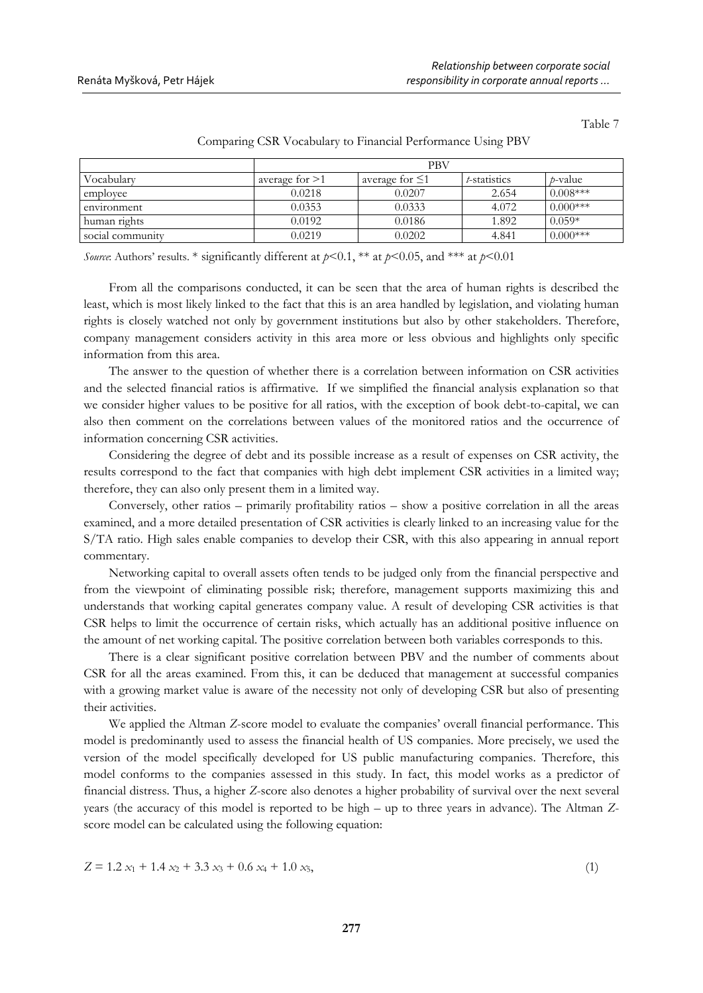Table 7

|                  |                  | <b>PBV</b>           |              |                 |
|------------------|------------------|----------------------|--------------|-----------------|
| Vocabularv       | average for $>1$ | average for $\leq 1$ | t-statistics | <i>t</i> -value |
| employee         | 0.0218           | 0.0207               | 2.654        | $0.008***$      |
| environment      | 0.0353           | 0.0333               | 4.072        | $0.000***$      |
| human rights     | 0.0192           | 0.0186               | 1.892        | $0.059*$        |
| social community | 0.0219           | 0.0202               | 4.841        | $0.000$ ***     |

Comparing CSR Vocabulary to Financial Performance Using PBV

*Source*: Authors' results. \* significantly different at  $p<0.1$ , \*\* at  $p<0.05$ , and \*\*\* at  $p<0.01$ 

From all the comparisons conducted, it can be seen that the area of human rights is described the least, which is most likely linked to the fact that this is an area handled by legislation, and violating human rights is closely watched not only by government institutions but also by other stakeholders. Therefore, company management considers activity in this area more or less obvious and highlights only specific information from this area.

The answer to the question of whether there is a correlation between information on CSR activities and the selected financial ratios is affirmative. If we simplified the financial analysis explanation so that we consider higher values to be positive for all ratios, with the exception of book debt-to-capital, we can also then comment on the correlations between values of the monitored ratios and the occurrence of information concerning CSR activities.

Considering the degree of debt and its possible increase as a result of expenses on CSR activity, the results correspond to the fact that companies with high debt implement CSR activities in a limited way; therefore, they can also only present them in a limited way.

Conversely, other ratios – primarily profitability ratios – show a positive correlation in all the areas examined, and a more detailed presentation of CSR activities is clearly linked to an increasing value for the S/TA ratio. High sales enable companies to develop their CSR, with this also appearing in annual report commentary.

Networking capital to overall assets often tends to be judged only from the financial perspective and from the viewpoint of eliminating possible risk; therefore, management supports maximizing this and understands that working capital generates company value. A result of developing CSR activities is that CSR helps to limit the occurrence of certain risks, which actually has an additional positive influence on the amount of net working capital. The positive correlation between both variables corresponds to this.

There is a clear significant positive correlation between PBV and the number of comments about CSR for all the areas examined. From this, it can be deduced that management at successful companies with a growing market value is aware of the necessity not only of developing CSR but also of presenting their activities.

We applied the Altman *Z*-score model to evaluate the companies' overall financial performance. This model is predominantly used to assess the financial health of US companies. More precisely, we used the version of the model specifically developed for US public manufacturing companies. Therefore, this model conforms to the companies assessed in this study. In fact, this model works as a predictor of financial distress. Thus, a higher *Z*-score also denotes a higher probability of survival over the next several years (the accuracy of this model is reported to be high – up to three years in advance). The Altman *Z*score model can be calculated using the following equation:

$$
Z = 1.2 x_1 + 1.4 x_2 + 3.3 x_3 + 0.6 x_4 + 1.0 x_5,
$$
\n<sup>(1)</sup>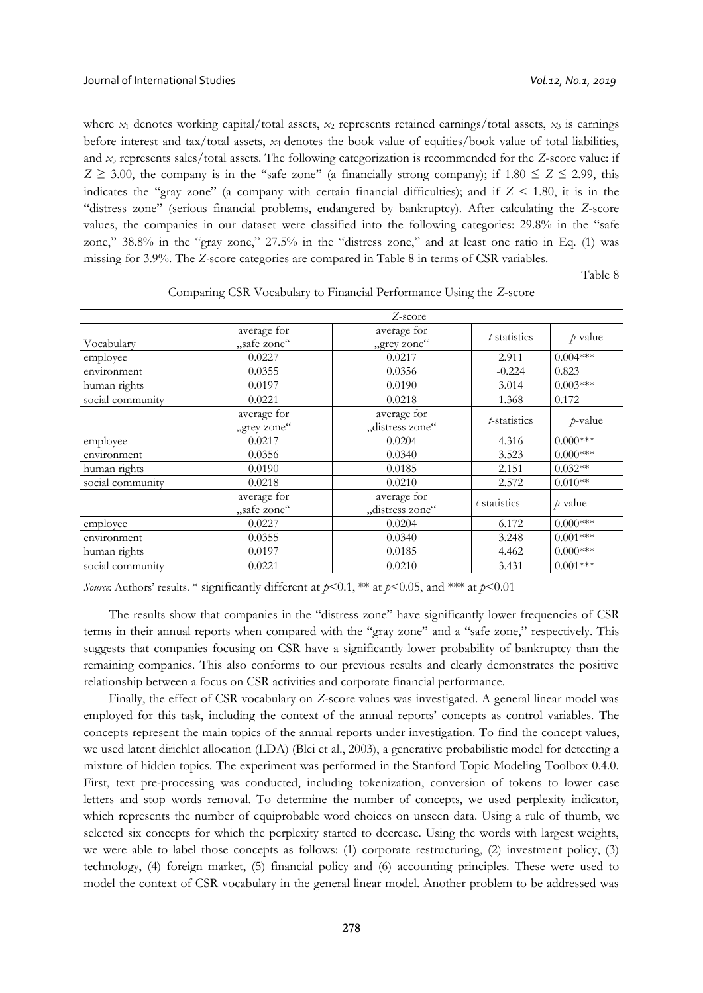where  $x_1$  denotes working capital/total assets,  $x_2$  represents retained earnings/total assets,  $x_3$  is earnings before interest and tax/total assets, *x*4 denotes the book value of equities/book value of total liabilities, and *x*<sup>5</sup> represents sales/total assets. The following categorization is recommended for the *Z*-score value: if  $Z \ge 3.00$ , the company is in the "safe zone" (a financially strong company); if  $1.80 \le Z \le 2.99$ , this indicates the "gray zone" (a company with certain financial difficulties); and if  $Z \le 1.80$ , it is in the "distress zone" (serious financial problems, endangered by bankruptcy). After calculating the *Z*-score values, the companies in our dataset were classified into the following categories: 29.8% in the "safe zone," 38.8% in the "gray zone," 27.5% in the "distress zone," and at least one ratio in Eq. (1) was missing for 3.9%. The *Z-*score categories are compared in Table 8 in terms of CSR variables.

Table 8

|                  |             | Z-score         |                      |            |
|------------------|-------------|-----------------|----------------------|------------|
|                  | average for | average for     | <i>t</i> -statistics | $p$ -value |
| Vocabularv       | "safe zone" | "grey zone"     |                      |            |
| employee         | 0.0227      | 0.0217          | 2.911                | $0.004***$ |
| environment      | 0.0355      | 0.0356          | $-0.224$             | 0.823      |
| human rights     | 0.0197      | 0.0190          | 3.014                | $0.003***$ |
| social community | 0.0221      | 0.0218          | 1.368                | 0.172      |
|                  | average for | average for     | <i>t</i> -statistics | $p$ -value |
|                  | "grey zone" | "distress zone" |                      |            |
| employee         | 0.0217      | 0.0204          | 4.316                | $0.000***$ |
| environment      | 0.0356      | 0.0340          | 3.523                | $0.000***$ |
| human rights     | 0.0190      | 0.0185          | 2.151                | $0.032**$  |
| social community | 0.0218      | 0.0210          | 2.572                | $0.010**$  |
|                  | average for | average for     | <i>t</i> -statistics | $p$ -value |
|                  | "safe zone" | "distress zone" |                      |            |
| employee         | 0.0227      | 0.0204          | 6.172                | $0.000***$ |
| environment      | 0.0355      | 0.0340          | 3.248                | $0.001***$ |
| human rights     | 0.0197      | 0.0185          | 4.462                | $0.000***$ |
| social community | 0.0221      | 0.0210          | 3.431                | $0.001***$ |

Comparing CSR Vocabulary to Financial Performance Using the *Z*-score

*Source*: Authors' results. \* significantly different at  $p<0.1$ , \*\* at  $p<0.05$ , and \*\*\* at  $p<0.01$ 

The results show that companies in the "distress zone" have significantly lower frequencies of CSR terms in their annual reports when compared with the "gray zone" and a "safe zone," respectively. This suggests that companies focusing on CSR have a significantly lower probability of bankruptcy than the remaining companies. This also conforms to our previous results and clearly demonstrates the positive relationship between a focus on CSR activities and corporate financial performance.

Finally, the effect of CSR vocabulary on *Z*-score values was investigated. A general linear model was employed for this task, including the context of the annual reports' concepts as control variables. The concepts represent the main topics of the annual reports under investigation. To find the concept values, we used latent dirichlet allocation (LDA) (Blei et al., 2003), a generative probabilistic model for detecting a mixture of hidden topics. The experiment was performed in the Stanford Topic Modeling Toolbox 0.4.0. First, text pre-processing was conducted, including tokenization, conversion of tokens to lower case letters and stop words removal. To determine the number of concepts, we used perplexity indicator, which represents the number of equiprobable word choices on unseen data. Using a rule of thumb, we selected six concepts for which the perplexity started to decrease. Using the words with largest weights, we were able to label those concepts as follows: (1) corporate restructuring, (2) investment policy, (3) technology, (4) foreign market, (5) financial policy and (6) accounting principles. These were used to model the context of CSR vocabulary in the general linear model. Another problem to be addressed was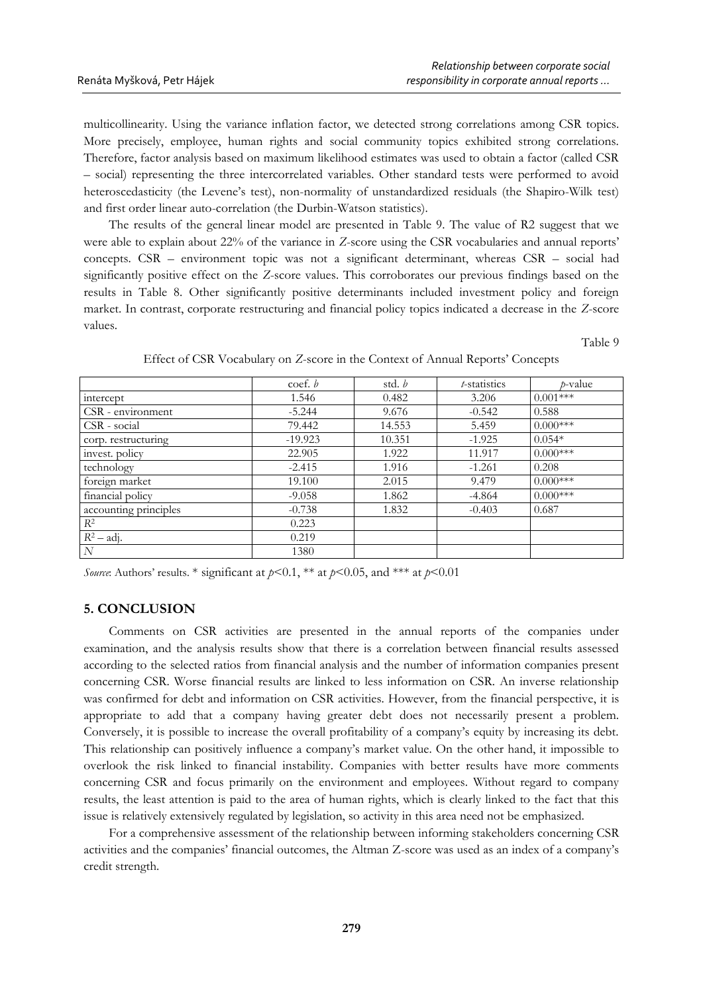multicollinearity. Using the variance inflation factor, we detected strong correlations among CSR topics. More precisely, employee, human rights and social community topics exhibited strong correlations. Therefore, factor analysis based on maximum likelihood estimates was used to obtain a factor (called CSR – social) representing the three intercorrelated variables. Other standard tests were performed to avoid heteroscedasticity (the Levene's test), non-normality of unstandardized residuals (the Shapiro-Wilk test) and first order linear auto-correlation (the Durbin-Watson statistics).

The results of the general linear model are presented in Table 9. The value of R2 suggest that we were able to explain about 22% of the variance in *Z*-score using the CSR vocabularies and annual reports' concepts. CSR – environment topic was not a significant determinant, whereas CSR – social had significantly positive effect on the *Z*-score values. This corroborates our previous findings based on the results in Table 8. Other significantly positive determinants included investment policy and foreign market. In contrast, corporate restructuring and financial policy topics indicated a decrease in the *Z*-score values.

Table 9

|                       | $\text{coef. } b$ | std. b | t-statistics | <i>p</i> -value |
|-----------------------|-------------------|--------|--------------|-----------------|
| intercept             | 1.546             | 0.482  | 3.206        | $0.001***$      |
| CSR - environment     | $-5.244$          | 9.676  | $-0.542$     | 0.588           |
| CSR - social          | 79.442            | 14.553 | 5.459        | $0.000***$      |
| corp. restructuring   | $-19.923$         | 10.351 | $-1.925$     | $0.054*$        |
| invest. policy        | 22.905            | 1.922  | 11.917       | $0.000***$      |
| technology            | $-2.415$          | 1.916  | $-1.261$     | 0.208           |
| foreign market        | 19.100            | 2.015  | 9.479        | $0.000***$      |
| financial policy      | $-9.058$          | 1.862  | $-4.864$     | $0.000***$      |
| accounting principles | $-0.738$          | 1.832  | $-0.403$     | 0.687           |
| $R^2$                 | 0.223             |        |              |                 |
| $R^2$ – adj.          | 0.219             |        |              |                 |
| N                     | 1380              |        |              |                 |

Effect of CSR Vocabulary on *Z*-score in the Context of Annual Reports' Concepts

*Source*: Authors' results. \* significant at  $p<0.1$ , \*\* at  $p<0.05$ , and \*\*\* at  $p<0.01$ 

## **5. CONCLUSION**

Comments on CSR activities are presented in the annual reports of the companies under examination, and the analysis results show that there is a correlation between financial results assessed according to the selected ratios from financial analysis and the number of information companies present concerning CSR. Worse financial results are linked to less information on CSR. An inverse relationship was confirmed for debt and information on CSR activities. However, from the financial perspective, it is appropriate to add that a company having greater debt does not necessarily present a problem. Conversely, it is possible to increase the overall profitability of a company's equity by increasing its debt. This relationship can positively influence a company's market value. On the other hand, it impossible to overlook the risk linked to financial instability. Companies with better results have more comments concerning CSR and focus primarily on the environment and employees. Without regard to company results, the least attention is paid to the area of human rights, which is clearly linked to the fact that this issue is relatively extensively regulated by legislation, so activity in this area need not be emphasized.

For a comprehensive assessment of the relationship between informing stakeholders concerning CSR activities and the companies' financial outcomes, the Altman Z-score was used as an index of a company's credit strength.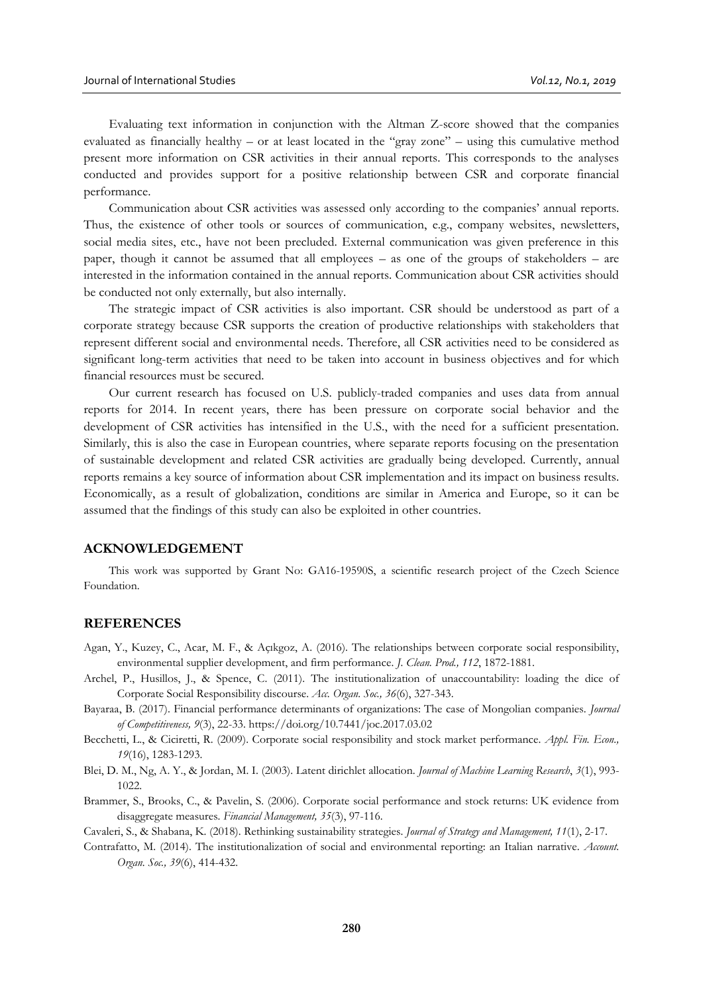Evaluating text information in conjunction with the Altman Z-score showed that the companies evaluated as financially healthy – or at least located in the "gray zone" – using this cumulative method present more information on CSR activities in their annual reports. This corresponds to the analyses conducted and provides support for a positive relationship between CSR and corporate financial performance.

Communication about CSR activities was assessed only according to the companies' annual reports. Thus, the existence of other tools or sources of communication, e.g., company websites, newsletters, social media sites, etc., have not been precluded. External communication was given preference in this paper, though it cannot be assumed that all employees – as one of the groups of stakeholders – are interested in the information contained in the annual reports. Communication about CSR activities should be conducted not only externally, but also internally.

The strategic impact of CSR activities is also important. CSR should be understood as part of a corporate strategy because CSR supports the creation of productive relationships with stakeholders that represent different social and environmental needs. Therefore, all CSR activities need to be considered as significant long-term activities that need to be taken into account in business objectives and for which financial resources must be secured.

Our current research has focused on U.S. publicly-traded companies and uses data from annual reports for 2014. In recent years, there has been pressure on corporate social behavior and the development of CSR activities has intensified in the U.S., with the need for a sufficient presentation. Similarly, this is also the case in European countries, where separate reports focusing on the presentation of sustainable development and related CSR activities are gradually being developed. Currently, annual reports remains a key source of information about CSR implementation and its impact on business results. Economically, as a result of globalization, conditions are similar in America and Europe, so it can be assumed that the findings of this study can also be exploited in other countries.

#### **ACKNOWLEDGEMENT**

This work was supported by Grant No: GA16-19590S, a scientific research project of the Czech Science Foundation.

## **REFERENCES**

- Agan, Y., Kuzey, C., Acar, M. F., & Açıkgoz, A. (2016). The relationships between corporate social responsibility, environmental supplier development, and firm performance. *J. Clean. Prod., 112*, 1872-1881.
- Archel, P., Husillos, J., & Spence, C. (2011). The institutionalization of unaccountability: loading the dice of Corporate Social Responsibility discourse. *Acc. Organ. Soc., 36*(6), 327-343.
- Bayaraa, B. (2017). Financial performance determinants of organizations: The case of Mongolian companies. *Journal of Competitiveness, 9*(3), 22-33[. https://doi.org/10.7441/joc.2017.03.02](https://doi.org/10.7441/joc.2017.03.02)
- Becchetti, L., & Ciciretti, R. (2009). Corporate social responsibility and stock market performance. *Appl. Fin. Econ., 19*(16), 1283-1293.
- Blei, D. M., Ng, A. Y., & Jordan, M. I. (2003). Latent dirichlet allocation. *Journal of Machine Learning Research*, *3*(1), 993- 1022.
- Brammer, S., Brooks, C., & Pavelin, S. (2006). Corporate social performance and stock returns: UK evidence from disaggregate measures. *Financial Management, 35*(3), 97-116.

Cavaleri, S., & Shabana, K. (2018). Rethinking sustainability strategies. *Journal of Strategy and Management, 11*(1), 2-17.

Contrafatto, M. (2014). The institutionalization of social and environmental reporting: an Italian narrative. *Account. Organ. Soc., 39*(6), 414-432.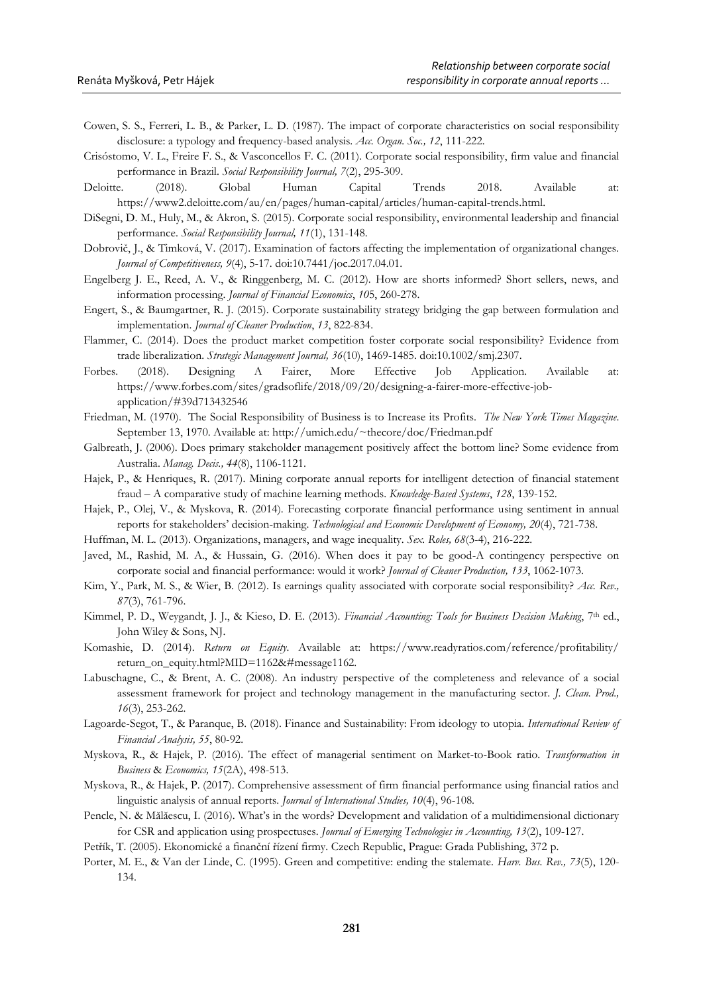- Cowen, S. S., Ferreri, L. B., & Parker, L. D. (1987). The impact of corporate characteristics on social responsibility disclosure: a typology and frequency-based analysis. *Acc. Organ. Soc., 12*, 111-222.
- Crisóstomo, V. L., Freire F. S., & Vasconcellos F. C. (2011). Corporate social responsibility, firm value and financial performance in Brazil. *Social Responsibility Journal, 7*(2), 295-309.
- Deloitte. (2018). Global Human Capital Trends 2018. Available at: https://www2.deloitte.com/au/en/pages/human-capital/articles/human-capital-trends.html.
- DiSegni, D. M., Huly, M., & Akron, S. (2015). Corporate social responsibility, environmental leadership and financial performance. *Social Responsibility Journal, 11*(1), 131-148.
- Dobrovič, J., & Timková, V. (2017). Examination of factors affecting the implementation of organizational changes. *Journal of Competitiveness, 9*(4), 5-17. doi:10.7441/joc.2017.04.01.
- Engelberg J. E., Reed, A. V., & Ringgenberg, M. C. (2012). How are shorts informed? Short sellers, news, and information processing. *Journal of Financial Economics*, *10*5, 260-278.
- Engert, S., & Baumgartner, R. J. (2015). Corporate sustainability strategy bridging the gap between formulation and implementation. *[Journal of Cleaner Production](https://www.sciencedirect.com/science/journal/09596526)*, *[13](https://www.sciencedirect.com/science/journal/09596526/113/supp/C)*, 822-834.
- Flammer, C. (2014). Does the product market competition foster corporate social responsibility? Evidence from trade liberalization. *Strategic Management Journal, 36*(10), 1469-1485. doi:10.1002/smj.2307.
- Forbes. (2018). Designing A Fairer, More Effective Job Application. Available at: https://www.forbes.com/sites/gradsoflife/2018/09/20/designing-a-fairer-more-effective-jobapplication/#39d713432546
- Friedman, M. (1970). The Social Responsibility of Business is to Increase its Profits. *The New York Times Magazine*. September 13, 1970. Available at: http://umich.edu/~thecore/doc/Friedman.pdf
- Galbreath, J. (2006). Does primary stakeholder management positively affect the bottom line? Some evidence from Australia. *Manag. Decis., 44*(8), 1106-1121.
- Hajek, P., & Henriques, R. (2017). Mining corporate annual reports for intelligent detection of financial statement fraud – A comparative study of machine learning methods. *Knowledge-Based Systems*, *128*, 139-152.
- Hajek, P., Olej, V., & Myskova, R. (2014). Forecasting corporate financial performance using sentiment in annual reports for stakeholders' decision-making. *Technological and Economic Development of Economy, 20*(4), 721-738.
- Huffman, M. L. (2013). Organizations, managers, and wage inequality. *Sex. Roles, 68*(3-4), 216-222.
- Javed, M., Rashid, M. A., & Hussain, G. (2016). When does it pay to be good-A contingency perspective on corporate social and financial performance: would it work? *[Journal of Cleaner Production,](https://www.sciencedirect.com/science/journal/09596526) [133](https://www.sciencedirect.com/science/journal/09596526/133/supp/C)*, 1062-1073.
- Kim, Y., Park, M. S., & Wier, B. (2012). Is earnings quality associated with corporate social responsibility? *Acc. Rev., 87*(3), 761-796.
- Kimmel, P. D., Weygandt, J. J., & Kieso, D. E. (2013). *Financial Accounting: Tools for Business Decision Making*. 7<sup>th</sup> ed., John Wiley & Sons, NJ.
- Komashie, D. (2014). *Return on Equity*. Available at: https://www.readyratios.com/reference/profitability/ return\_on\_equity.html?MID=1162&#message1162.
- Labuschagne, C., & Brent, A. C. (2008). An industry perspective of the completeness and relevance of a social assessment framework for project and technology management in the manufacturing sector. *J. Clean. Prod., 16*(3), 253-262.
- Lagoarde-Segot, T., & Paranque, B. (2018). Finance and Sustainability: From ideology to utopia. *International Review of Financial Analysis, 55*, 80-92.
- Myskova, R., & Hajek, P. (2016). The effect of managerial sentiment on Market-to-Book ratio. *Transformation in Business* & *Economics, 15*(2A), 498-513.
- Myskova, R., & Hajek, P. (2017). Comprehensive assessment of firm financial performance using financial ratios and linguistic analysis of annual reports. *Journal of International Studies, 10*(4), 96-108.
- Pencle, N. & Mălăescu, I. (2016). What's in the words? Development and validation of a multidimensional dictionary for CSR and application using prospectuses. *Journal of Emerging Technologies in Accounting, 13*(2), 109-127.
- Petřík, T. (2005). Ekonomické a finanční řízení firmy. Czech Republic, Prague: Grada Publishing, 372 p.
- Porter, M. E., & Van der Linde, C. (1995). Green and competitive: ending the stalemate. *Harv. Bus. Rev., 73*(5), 120- 134.